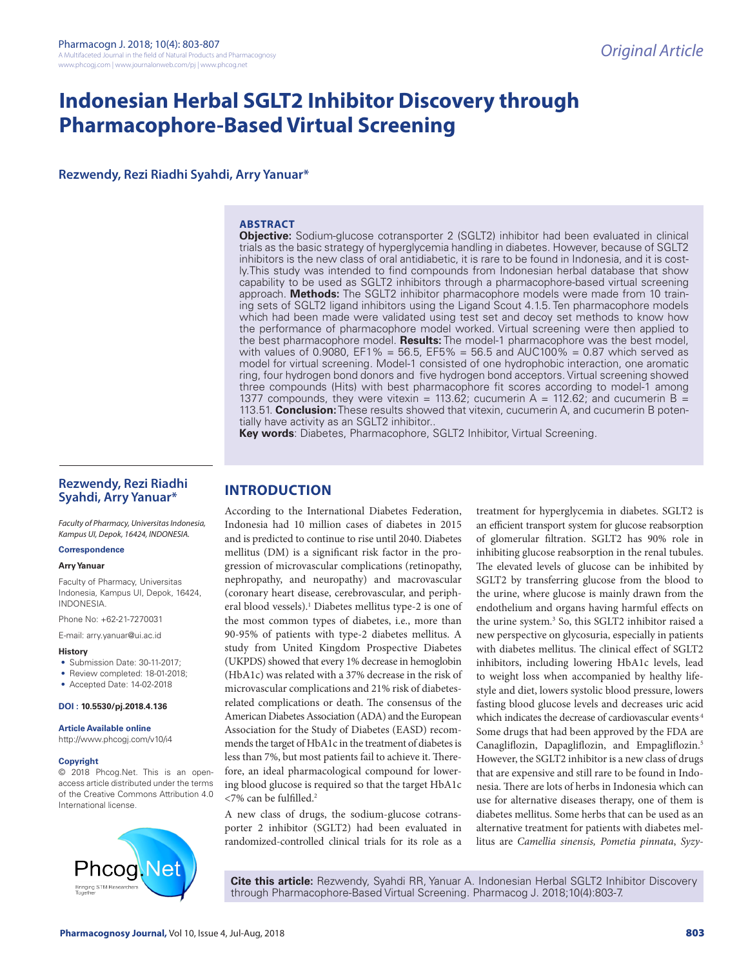# **Indonesian Herbal SGLT2 Inhibitor Discovery through Pharmacophore-Based Virtual Screening**

**Rezwendy, Rezi Riadhi Syahdi, Arry Yanuar\***

# **ABSTRACT**

**Objective:** Sodium-glucose cotransporter 2 (SGLT2) inhibitor had been evaluated in clinical trials as the basic strategy of hyperglycemia handling in diabetes. However, because of SGLT2 inhibitors is the new class of oral antidiabetic, it is rare to be found in Indonesia, and it is costly.This study was intended to find compounds from Indonesian herbal database that show capability to be used as SGLT2 inhibitors through a pharmacophore-based virtual screening approach. **Methods:** The SGLT2 inhibitor pharmacophore models were made from 10 training sets of SGLT2 ligand inhibitors using the Ligand Scout 4.1.5. Ten pharmacophore models which had been made were validated using test set and decoy set methods to know how the performance of pharmacophore model worked. Virtual screening were then applied to the best pharmacophore model. **Results:** The model-1 pharmacophore was the best model, with values of 0.9080,  $EFT% = 56.5$ ,  $EFS% = 56.5$  and AUC100% = 0.87 which served as model for virtual screening. Model-1 consisted of one hydrophobic interaction, one aromatic ring, four hydrogen bond donors and five hydrogen bond acceptors. Virtual screening showed three compounds (Hits) with best pharmacophore fit scores according to model-1 among 1377 compounds, they were vitexin = 113.62; cucumerin A = 112.62; and cucumerin B = 113.51. **Conclusion:** These results showed that vitexin, cucumerin A, and cucumerin B potentially have activity as an SGLT2 inhibitor..

**Key words**: Diabetes, Pharmacophore, SGLT2 Inhibitor, Virtual Screening.

# **Rezwendy, Rezi Riadhi Syahdi, Arry Yanuar\***

*Faculty of Pharmacy, Universitas Indonesia, Kampus UI, Depok, 16424, INDONESIA.*

#### **Correspondence**

#### **Arry Yanuar**

Faculty of Pharmacy, Universitas Indonesia, Kampus UI, Depok, 16424, INDONESIA.

Phone No: +62-21-7270031

E-mail: arry.yanuar@ui.ac.id

#### **History**

- Submission Date: 30-11-2017;
- Review completed: 18-01-2018;
- Accepted Date: 14-02-2018

#### **DOI : 10.5530/pj.2018.4.136**

**Article Available online**  http://www.phcogj.com/v10/i4

# **Copyright**

© 2018 Phcog.Net. This is an openaccess article distributed under the terms of the Creative Commons Attribution 4.0 International license.



# **INTRODUCTION**

According to the International Diabetes Federation, Indonesia had 10 million cases of diabetes in 2015 and is predicted to continue to rise until 2040. Diabetes mellitus (DM) is a significant risk factor in the progression of microvascular complications (retinopathy, nephropathy, and neuropathy) and macrovascular (coronary heart disease, cerebrovascular, and peripheral blood vessels).<sup>1</sup> Diabetes mellitus type-2 is one of the most common types of diabetes, i.e., more than 90-95% of patients with type-2 diabetes mellitus. A study from United Kingdom Prospective Diabetes (UKPDS) showed that every 1% decrease in hemoglobin (HbA1c) was related with a 37% decrease in the risk of microvascular complications and 21% risk of diabetesrelated complications or death. The consensus of the American Diabetes Association (ADA) and the European Association for the Study of Diabetes (EASD) recommends the target of HbA1c in the treatment of diabetes is less than 7%, but most patients fail to achieve it. Therefore, an ideal pharmacological compound for lowering blood glucose is required so that the target HbA1c <7% can be fulfilled.2

A new class of drugs, the sodium-glucose cotransporter 2 inhibitor (SGLT2) had been evaluated in randomized-controlled clinical trials for its role as a

treatment for hyperglycemia in diabetes. SGLT2 is an efficient transport system for glucose reabsorption of glomerular filtration. SGLT2 has 90% role in inhibiting glucose reabsorption in the renal tubules. The elevated levels of glucose can be inhibited by SGLT2 by transferring glucose from the blood to the urine, where glucose is mainly drawn from the endothelium and organs having harmful effects on the urine system.<sup>3</sup> So, this SGLT2 inhibitor raised a new perspective on glycosuria, especially in patients with diabetes mellitus. The clinical effect of SGLT2 inhibitors, including lowering HbA1c levels, lead to weight loss when accompanied by healthy lifestyle and diet, lowers systolic blood pressure, lowers fasting blood glucose levels and decreases uric acid which indicates the decrease of cardiovascular events<sup>4</sup> Some drugs that had been approved by the FDA are Canagliflozin, Dapagliflozin, and Empagliflozin.5 However, the SGLT2 inhibitor is a new class of drugs that are expensive and still rare to be found in Indonesia. There are lots of herbs in Indonesia which can use for alternative diseases therapy, one of them is diabetes mellitus. Some herbs that can be used as an alternative treatment for patients with diabetes mellitus are *Camellia sinensis, Pometia pinnata*, *Syzy-*

**Cite this article:** Rezwendy, Syahdi RR, Yanuar A. Indonesian Herbal SGLT2 Inhibitor Discovery through Pharmacophore-Based Virtual Screening. Pharmacog J. 2018;10(4):803-7.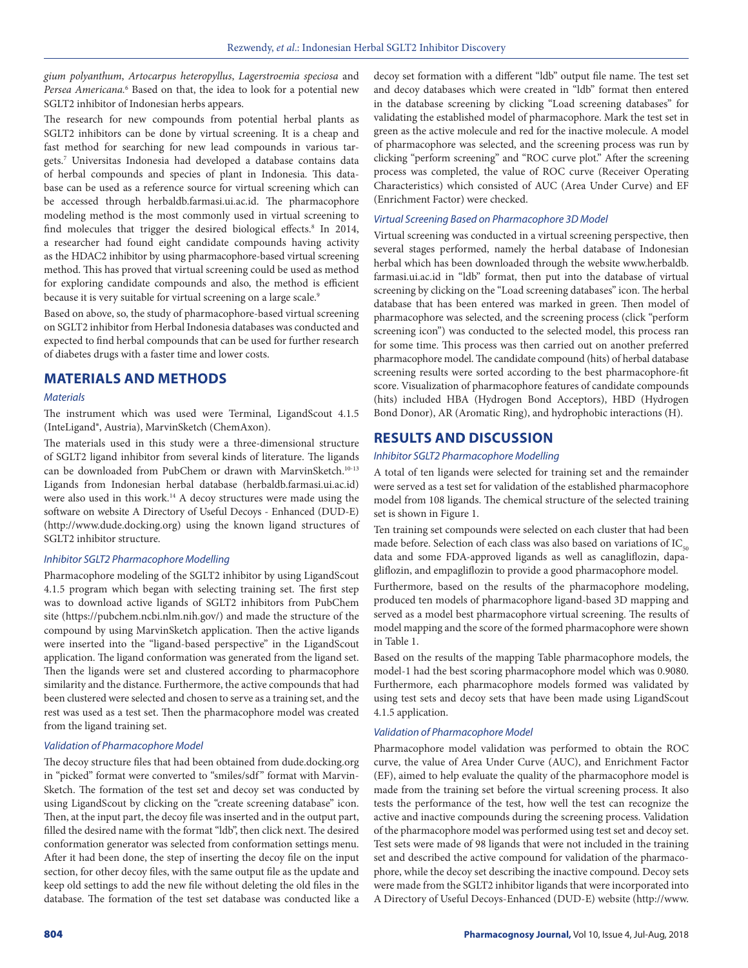*gium polyanthum*, *Artocarpus heteropyllus*, *Lagerstroemia speciosa* and Persea Americana.<sup>6</sup> Based on that, the idea to look for a potential new SGLT2 inhibitor of Indonesian herbs appears.

The research for new compounds from potential herbal plants as SGLT2 inhibitors can be done by virtual screening. It is a cheap and fast method for searching for new lead compounds in various targets.7 Universitas Indonesia had developed a database contains data of herbal compounds and species of plant in Indonesia. This database can be used as a reference source for virtual screening which can be accessed through herbaldb.farmasi.ui.ac.id. The pharmacophore modeling method is the most commonly used in virtual screening to find molecules that trigger the desired biological effects.<sup>8</sup> In 2014, a researcher had found eight candidate compounds having activity as the HDAC2 inhibitor by using pharmacophore-based virtual screening method. This has proved that virtual screening could be used as method for exploring candidate compounds and also, the method is efficient because it is very suitable for virtual screening on a large scale.<sup>9</sup>

Based on above, so, the study of pharmacophore-based virtual screening on SGLT2 inhibitor from Herbal Indonesia databases was conducted and expected to find herbal compounds that can be used for further research of diabetes drugs with a faster time and lower costs.

# **MATERIALS AND METHODS**

# *Materials*

The instrument which was used were Terminal, LigandScout 4.1.5 (InteLigand®, Austria), MarvinSketch (ChemAxon).

The materials used in this study were a three-dimensional structure of SGLT2 ligand inhibitor from several kinds of literature. The ligands can be downloaded from PubChem or drawn with MarvinSketch.<sup>10-13</sup> Ligands from Indonesian herbal database (herbaldb.farmasi.ui.ac.id) were also used in this work.<sup>14</sup> A decoy structures were made using the software on website A Directory of Useful Decoys - Enhanced (DUD-E) (http://www.dude.docking.org) using the known ligand structures of SGLT2 inhibitor structure.

# *Inhibitor SGLT2 Pharmacophore Modelling*

Pharmacophore modeling of the SGLT2 inhibitor by using LigandScout 4.1.5 program which began with selecting training set. The first step was to download active ligands of SGLT2 inhibitors from PubChem site (https://pubchem.ncbi.nlm.nih.gov/) and made the structure of the compound by using MarvinSketch application. Then the active ligands were inserted into the "ligand-based perspective" in the LigandScout application. The ligand conformation was generated from the ligand set. Then the ligands were set and clustered according to pharmacophore similarity and the distance. Furthermore, the active compounds that had been clustered were selected and chosen to serve as a training set, and the rest was used as a test set. Then the pharmacophore model was created from the ligand training set.

#### *Validation of Pharmacophore Model*

The decoy structure files that had been obtained from dude.docking.org in "picked" format were converted to "smiles/sdf" format with Marvin-Sketch. The formation of the test set and decoy set was conducted by using LigandScout by clicking on the "create screening database" icon. Then, at the input part, the decoy file was inserted and in the output part, filled the desired name with the format "ldb", then click next. The desired conformation generator was selected from conformation settings menu. After it had been done, the step of inserting the decoy file on the input section, for other decoy files, with the same output file as the update and keep old settings to add the new file without deleting the old files in the database. The formation of the test set database was conducted like a decoy set formation with a different "ldb" output file name. The test set and decoy databases which were created in "ldb" format then entered in the database screening by clicking "Load screening databases" for validating the established model of pharmacophore. Mark the test set in green as the active molecule and red for the inactive molecule. A model of pharmacophore was selected, and the screening process was run by clicking "perform screening" and "ROC curve plot." After the screening process was completed, the value of ROC curve (Receiver Operating Characteristics) which consisted of AUC (Area Under Curve) and EF (Enrichment Factor) were checked.

#### *Virtual Screening Based on Pharmacophore 3D Model*

Virtual screening was conducted in a virtual screening perspective, then several stages performed, namely the herbal database of Indonesian herbal which has been downloaded through the website www.herbaldb. farmasi.ui.ac.id in "ldb" format, then put into the database of virtual screening by clicking on the "Load screening databases" icon. The herbal database that has been entered was marked in green. Then model of pharmacophore was selected, and the screening process (click "perform screening icon") was conducted to the selected model, this process ran for some time. This process was then carried out on another preferred pharmacophore model. The candidate compound (hits) of herbal database screening results were sorted according to the best pharmacophore-fit score. Visualization of pharmacophore features of candidate compounds (hits) included HBA (Hydrogen Bond Acceptors), HBD (Hydrogen Bond Donor), AR (Aromatic Ring), and hydrophobic interactions (H).

# **RESULTS AND DISCUSSION**

# *Inhibitor SGLT2 Pharmacophore Modelling*

A total of ten ligands were selected for training set and the remainder were served as a test set for validation of the established pharmacophore model from 108 ligands. The chemical structure of the selected training set is shown in Figure 1.

Ten training set compounds were selected on each cluster that had been made before. Selection of each class was also based on variations of  $IC_{50}$ data and some FDA-approved ligands as well as canagliflozin, dapagliflozin, and empagliflozin to provide a good pharmacophore model.

Furthermore, based on the results of the pharmacophore modeling, produced ten models of pharmacophore ligand-based 3D mapping and served as a model best pharmacophore virtual screening. The results of model mapping and the score of the formed pharmacophore were shown in Table 1.

Based on the results of the mapping Table pharmacophore models, the model-1 had the best scoring pharmacophore model which was 0.9080. Furthermore, each pharmacophore models formed was validated by using test sets and decoy sets that have been made using LigandScout 4.1.5 application.

#### *Validation of Pharmacophore Model*

Pharmacophore model validation was performed to obtain the ROC curve, the value of Area Under Curve (AUC), and Enrichment Factor (EF), aimed to help evaluate the quality of the pharmacophore model is made from the training set before the virtual screening process. It also tests the performance of the test, how well the test can recognize the active and inactive compounds during the screening process. Validation of the pharmacophore model was performed using test set and decoy set. Test sets were made of 98 ligands that were not included in the training set and described the active compound for validation of the pharmacophore, while the decoy set describing the inactive compound. Decoy sets were made from the SGLT2 inhibitor ligands that were incorporated into A Directory of Useful Decoys-Enhanced (DUD-E) website (http://www.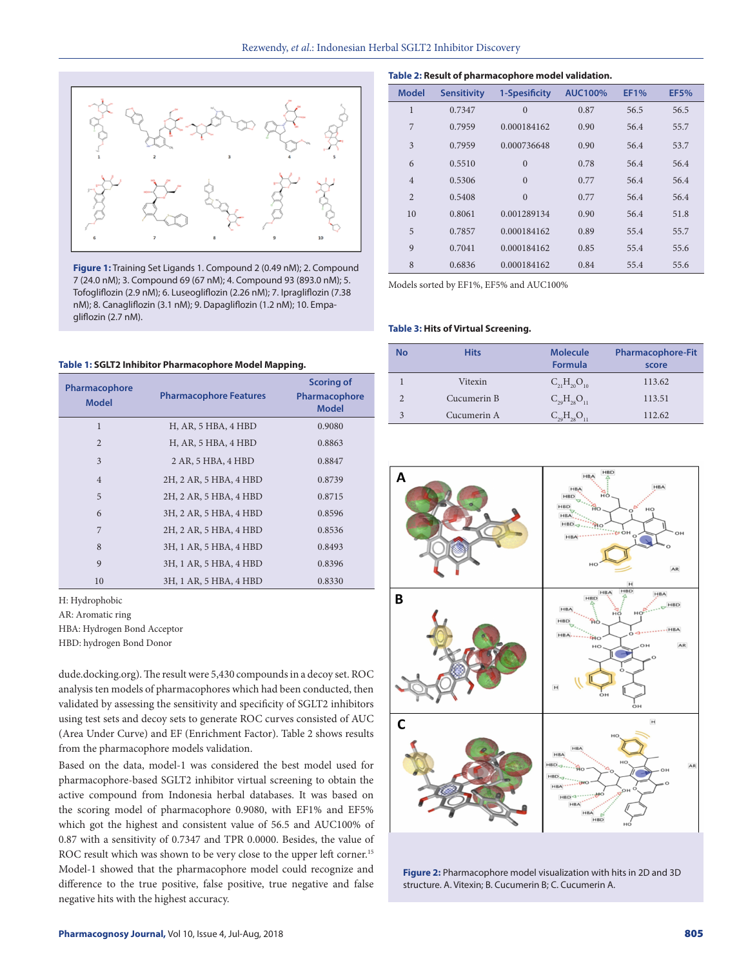

**Figure 1:** Training Set Ligands 1. Compound 2 (0.49 nM); 2. Compound 7 (24.0 nM); 3. Compound 69 (67 nM); 4. Compound 93 (893.0 nM); 5. Tofogliflozin (2.9 nM); 6. Luseogliflozin (2.26 nM); 7. Ipragliflozin (7.38 nM); 8. Canagliflozin (3.1 nM); 9. Dapagliflozin (1.2 nM); 10. Empagliflozin (2.7 nM).

**Table 1: SGLT2 Inhibitor Pharmacophore Model Mapping.**

| Pharmacophore<br><b>Model</b> | <b>Pharmacophore Features</b> | <b>Scoring of</b><br>Pharmacophore<br><b>Model</b> |
|-------------------------------|-------------------------------|----------------------------------------------------|
| $\mathbf{1}$                  | H, AR, 5 HBA, 4 HBD           | 0.9080                                             |
| $\overline{2}$                | H, AR, 5 HBA, 4 HBD           | 0.8863                                             |
| 3                             | 2 AR, 5 HBA, 4 HBD            | 0.8847                                             |
| $\overline{4}$                | 2H, 2 AR, 5 HBA, 4 HBD        | 0.8739                                             |
| 5                             | 2H, 2 AR, 5 HBA, 4 HBD        | 0.8715                                             |
| 6                             | 3H, 2 AR, 5 HBA, 4 HBD        | 0.8596                                             |
| 7                             | 2H, 2 AR, 5 HBA, 4 HBD        | 0.8536                                             |
| 8                             | 3H, 1 AR, 5 HBA, 4 HBD        | 0.8493                                             |
| 9                             | 3H, 1 AR, 5 HBA, 4 HBD        | 0.8396                                             |
| 10                            | 3H, 1 AR, 5 HBA, 4 HBD        | 0.8330                                             |

H: Hydrophobic

AR: Aromatic ring

HBA: Hydrogen Bond Acceptor

HBD: hydrogen Bond Donor

dude.docking.org). The result were 5,430 compounds in a decoy set. ROC analysis ten models of pharmacophores which had been conducted, then validated by assessing the sensitivity and specificity of SGLT2 inhibitors using test sets and decoy sets to generate ROC curves consisted of AUC (Area Under Curve) and EF (Enrichment Factor). Table 2 shows results from the pharmacophore models validation.

Based on the data, model-1 was considered the best model used for pharmacophore-based SGLT2 inhibitor virtual screening to obtain the active compound from Indonesia herbal databases. It was based on the scoring model of pharmacophore 0.9080, with EF1% and EF5% which got the highest and consistent value of 56.5 and AUC100% of 0.87 with a sensitivity of 0.7347 and TPR 0.0000. Besides, the value of ROC result which was shown to be very close to the upper left corner.<sup>15</sup> Model-1 showed that the pharmacophore model could recognize and difference to the true positive, false positive, true negative and false negative hits with the highest accuracy.

| Table 2: Result of pharmacophore model validation. |  |  |
|----------------------------------------------------|--|--|
|----------------------------------------------------|--|--|

| <b>Model</b>   | <b>Sensitivity</b> | 1-Spesificity  | <b>AUC100%</b> | <b>EF1%</b> | <b>EF5%</b> |
|----------------|--------------------|----------------|----------------|-------------|-------------|
| $\mathbf{1}$   | 0.7347             | $\overline{0}$ | 0.87           | 56.5        | 56.5        |
| 7              | 0.7959             | 0.000184162    | 0.90           | 56.4        | 55.7        |
| 3              | 0.7959             | 0.000736648    | 0.90           | 56.4        | 53.7        |
| 6              | 0.5510             | $\overline{0}$ | 0.78           | 56.4        | 56.4        |
| $\overline{4}$ | 0.5306             | $\Omega$       | 0.77           | 56.4        | 56.4        |
| $\overline{2}$ | 0.5408             | $\mathbf{0}$   | 0.77           | 56.4        | 56.4        |
| 10             | 0.8061             | 0.001289134    | 0.90           | 56.4        | 51.8        |
| 5              | 0.7857             | 0.000184162    | 0.89           | 55.4        | 55.7        |
| 9              | 0.7041             | 0.000184162    | 0.85           | 55.4        | 55.6        |
| 8              | 0.6836             | 0.000184162    | 0.84           | 55.4        | 55.6        |

Models sorted by EF1%, EF5% and AUC100%

#### **Table 3: Hits of Virtual Screening.**

| <b>No</b> | <b>Hits</b> | <b>Molecule</b><br><b>Formula</b> | <b>Pharmacophore-Fit</b><br>score |
|-----------|-------------|-----------------------------------|-----------------------------------|
|           | Vitexin     | $C_{21}H_{20}O_{10}$              | 113.62                            |
|           | Cucumerin B | $C_{29}H_{28}O_{11}$              | 113.51                            |
| 3         | Cucumerin A | $C_{29}H_{28}O_{1}$               | 112.62                            |



**Figure 2:** Pharmacophore model visualization with hits in 2D and 3D structure. A. Vitexin; B. Cucumerin B; C. Cucumerin A.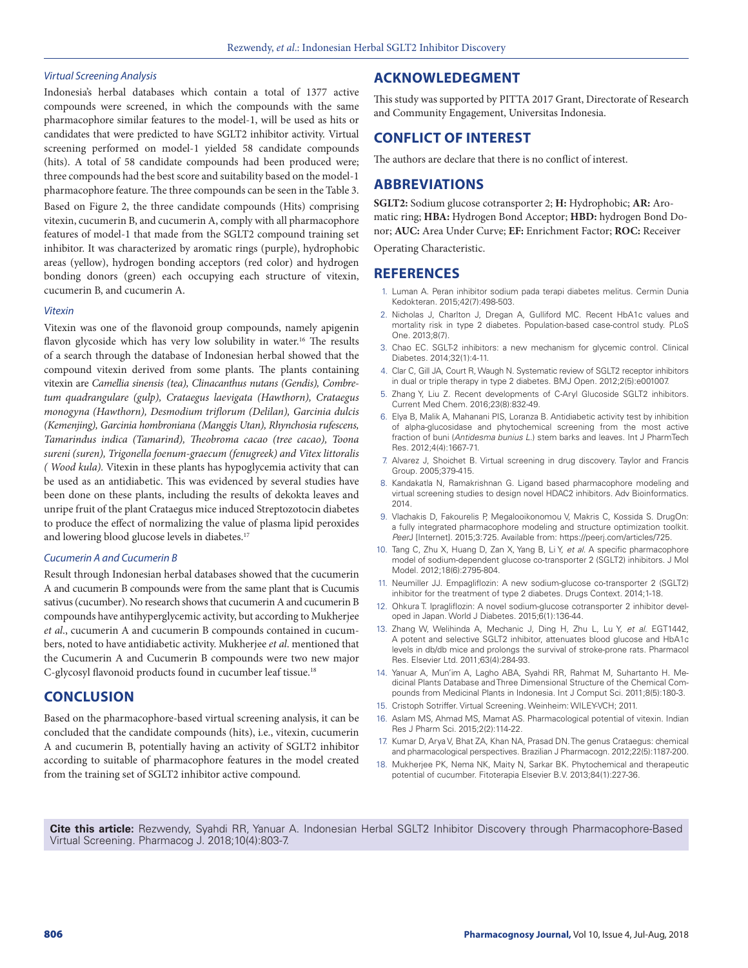#### *Virtual Screening Analysis*

Indonesia's herbal databases which contain a total of 1377 active compounds were screened, in which the compounds with the same pharmacophore similar features to the model-1, will be used as hits or candidates that were predicted to have SGLT2 inhibitor activity. Virtual screening performed on model-1 yielded 58 candidate compounds (hits). A total of 58 candidate compounds had been produced were; three compounds had the best score and suitability based on the model-1 pharmacophore feature. The three compounds can be seen in the Table 3.

Based on Figure 2, the three candidate compounds (Hits) comprising vitexin, cucumerin B, and cucumerin A, comply with all pharmacophore features of model-1 that made from the SGLT2 compound training set inhibitor. It was characterized by aromatic rings (purple), hydrophobic areas (yellow), hydrogen bonding acceptors (red color) and hydrogen bonding donors (green) each occupying each structure of vitexin, cucumerin B, and cucumerin A.

#### *Vitexin*

Vitexin was one of the flavonoid group compounds, namely apigenin flavon glycoside which has very low solubility in water.<sup>16</sup> The results of a search through the database of Indonesian herbal showed that the compound vitexin derived from some plants. The plants containing vitexin are *Camellia sinensis (tea), Clinacanthus nutans (Gendis), Combretum quadrangulare (gulp), Crataegus laevigata (Hawthorn), Crataegus monogyna (Hawthorn), Desmodium triflorum (Delilan), Garcinia dulcis (Kemenjing), Garcinia hombroniana (Manggis Utan), Rhynchosia rufescens, Tamarindus indica (Tamarind), Theobroma cacao (tree cacao), Toona sureni (suren), Trigonella foenum-graecum (fenugreek) and Vitex littoralis ( Wood kula).* Vitexin in these plants has hypoglycemia activity that can be used as an antidiabetic. This was evidenced by several studies have been done on these plants, including the results of dekokta leaves and unripe fruit of the plant Crataegus mice induced Streptozotocin diabetes to produce the effect of normalizing the value of plasma lipid peroxides and lowering blood glucose levels in diabetes.<sup>17</sup>

#### *Cucumerin A and Cucumerin B*

Result through Indonesian herbal databases showed that the cucumerin A and cucumerin B compounds were from the same plant that is Cucumis sativus (cucumber). No research shows that cucumerin A and cucumerin B compounds have antihyperglycemic activity, but according to Mukherjee *et al*., cucumerin A and cucumerin B compounds contained in cucumbers, noted to have antidiabetic activity. Mukherjee *et al*. mentioned that the Cucumerin A and Cucumerin B compounds were two new major C-glycosyl flavonoid products found in cucumber leaf tissue.18

# **CONCLUSION**

Based on the pharmacophore-based virtual screening analysis, it can be concluded that the candidate compounds (hits), i.e., vitexin, cucumerin A and cucumerin B, potentially having an activity of SGLT2 inhibitor according to suitable of pharmacophore features in the model created from the training set of SGLT2 inhibitor active compound.

# **ACKNOWLEDEGMENT**

This study was supported by PITTA 2017 Grant, Directorate of Research and Community Engagement, Universitas Indonesia.

# **CONFLICT OF INTEREST**

The authors are declare that there is no conflict of interest.

# **ABBREVIATIONS**

**SGLT2:** Sodium glucose cotransporter 2; **H:** Hydrophobic; **AR:** Aromatic ring; **HBA:** Hydrogen Bond Acceptor; **HBD:** hydrogen Bond Donor; **AUC:** Area Under Curve; **EF:** Enrichment Factor; **ROC:** Receiver

Operating Characteristic.

# **REFERENCES**

- 1. Luman A. Peran inhibitor sodium pada terapi diabetes melitus. Cermin Dunia Kedokteran. 2015;42(7):498-503.
- 2. Nicholas J, Charlton J, Dregan A, Gulliford MC. Recent HbA1c values and mortality risk in type 2 diabetes. Population-based case-control study. PLoS One. 2013;8(7).
- 3. Chao EC. SGLT-2 inhibitors: a new mechanism for glycemic control. Clinical Diabetes. 2014;32(1):4-11.
- 4. Clar C, Gill JA, Court R, Waugh N. Systematic review of SGLT2 receptor inhibitors in dual or triple therapy in type 2 diabetes. BMJ Open. 2012;2(5):e001007.
- 5. Zhang Y, Liu Z. Recent developments of C-Aryl Glucoside SGLT2 inhibitors. Current Med Chem. 2016;23(8):832-49.
- 6. Elya B, Malik A, Mahanani PIS, Loranza B. Antidiabetic activity test by inhibition of alpha-glucosidase and phytochemical screening from the most active fraction of buni (*Antidesma bunius L*.) stem barks and leaves. Int J PharmTech Res. 2012;4(4):1667-71.
- 7. Alvarez J, Shoichet B. Virtual screening in drug discovery. Taylor and Francis Group. 2005;379-415.
- 8. Kandakatla N, Ramakrishnan G. Ligand based pharmacophore modeling and virtual screening studies to design novel HDAC2 inhibitors. Adv Bioinformatics. 2014.
- 9. Vlachakis D, Fakourelis P, Megalooikonomou V, Makris C, Kossida S. DrugOn: a fully integrated pharmacophore modeling and structure optimization toolkit. *Peer*J [Internet]. 2015;3:725. Available from: https://peerj.com/articles/725.
- 10. Tang C, Zhu X, Huang D, Zan X, Yang B, Li Y, *et al*. A specific pharmacophore model of sodium-dependent glucose co-transporter 2 (SGLT2) inhibitors. J Mol Model. 2012;18(6):2795-804.
- 11. Neumiller JJ. Empagliflozin: A new sodium-glucose co-transporter 2 (SGLT2) inhibitor for the treatment of type 2 diabetes. Drugs Context. 2014;1-18.
- 12. Ohkura T. Ipragliflozin: A novel sodium-glucose cotransporter 2 inhibitor developed in Japan. World J Diabetes. 2015;6(1):136-44.
- 13. Zhang W, Welihinda A, Mechanic J, Ding H, Zhu L, Lu Y, *et al*. EGT1442, A potent and selective SGLT2 inhibitor, attenuates blood glucose and HbA1c levels in db/db mice and prolongs the survival of stroke-prone rats. Pharmacol Res. Elsevier Ltd. 2011;63(4):284-93.
- 14. Yanuar A, Mun'im A, Lagho ABA, Syahdi RR, Rahmat M, Suhartanto H. Medicinal Plants Database and Three Dimensional Structure of the Chemical Compounds from Medicinal Plants in Indonesia. Int J Comput Sci. 2011;8(5):180-3.
- 15. Cristoph Sotriffer. Virtual Screening. Weinheim: WILEY-VCH; 2011.
- 16. Aslam MS, Ahmad MS, Mamat AS. Pharmacological potential of vitexin. Indian Res J Pharm Sci. 2015;2(2):114-22.
- 17. Kumar D, Arya V, Bhat ZA, Khan NA, Prasad DN. The genus Crataegus: chemical and pharmacological perspectives. Brazilian J Pharmacogn. 2012;22(5):1187-200.
- 18. Mukherjee PK, Nema NK, Maity N, Sarkar BK. Phytochemical and therapeutic potential of cucumber. Fitoterapia Elsevier B.V. 2013;84(1):227-36.

**Cite this article:** Rezwendy, Syahdi RR, Yanuar A. Indonesian Herbal SGLT2 Inhibitor Discovery through Pharmacophore-Based Virtual Screening. Pharmacog J. 2018;10(4):803-7.